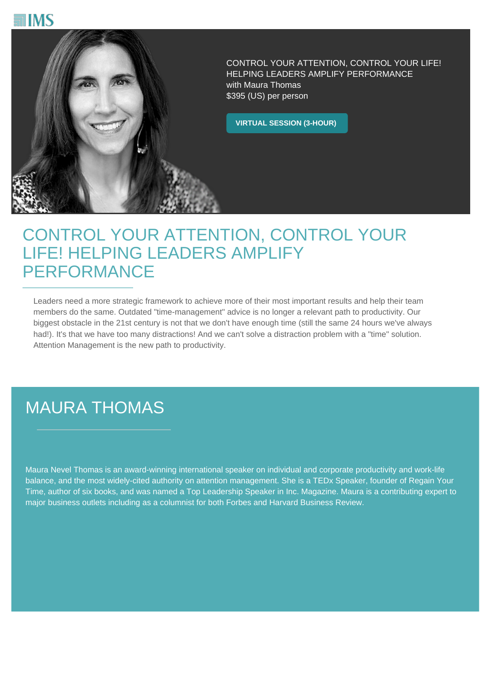



CONTROL YOUR ATTENTION, CONTROL YOUR LIFE! HELPING LEADERS AMPLIFY PERFORMANCE with Maura Thomas \$395 (US) per person

**VIRTUAL SESSION (3-HOUR)**

## CONTROL YOUR ATTENTION, CONTROL YOUR LIFE! HELPING LEADERS AMPLIFY PERFORMANCE

Leaders need a more strategic framework to achieve more of their most important results and help their team members do the same. Outdated "time-management" advice is no longer a relevant path to productivity. Our biggest obstacle in the 21st century is not that we don't have enough time (still the same 24 hours we've always had!). It's that we have too many distractions! And we can't solve a distraction problem with a "time" solution. Attention Management is the new path to productivity.

## MAURA THOMAS

Maura Nevel Thomas is an award-winning international speaker on individual and corporate productivity and work-life balance, and the most widely-cited authority on attention management. She is a TEDx Speaker, founder of Regain Your Time, author of six books, and was named a Top Leadership Speaker in Inc. Magazine. Maura is a contributing expert to major business outlets including as a columnist for both Forbes and Harvard Business Review.